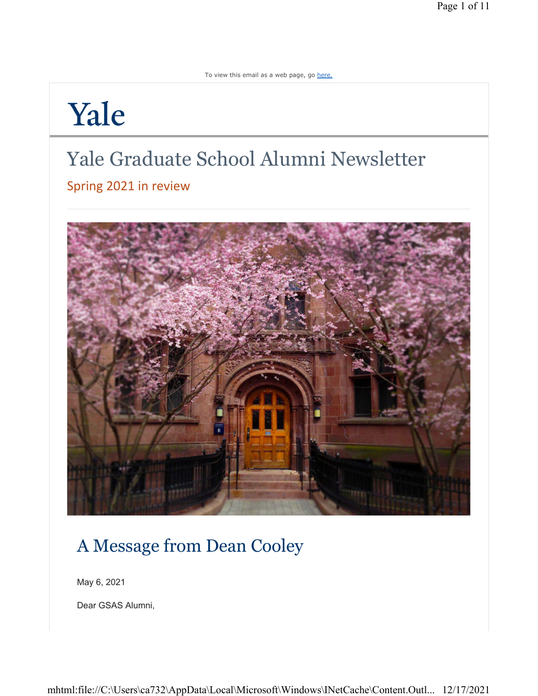To view this email as a web page, go here.

# Yale

## Yale Graduate School Alumni Newsletter

Spring 2021 in review



### A Message from Dean Cooley

May 6, 2021

Dear GSAS Alumni,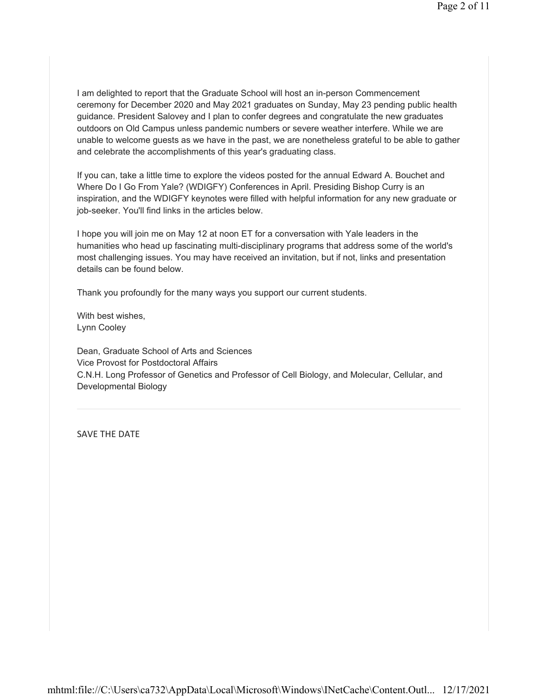I am delighted to report that the Graduate School will host an in-person Commencement ceremony for December 2020 and May 2021 graduates on Sunday, May 23 pending public health guidance. President Salovey and I plan to confer degrees and congratulate the new graduates outdoors on Old Campus unless pandemic numbers or severe weather interfere. While we are unable to welcome guests as we have in the past, we are nonetheless grateful to be able to gather and celebrate the accomplishments of this year's graduating class.

If you can, take a little time to explore the videos posted for the annual Edward A. Bouchet and Where Do I Go From Yale? (WDIGFY) Conferences in April. Presiding Bishop Curry is an inspiration, and the WDIGFY keynotes were filled with helpful information for any new graduate or job-seeker. You'll find links in the articles below.

I hope you will join me on May 12 at noon ET for a conversation with Yale leaders in the humanities who head up fascinating multi-disciplinary programs that address some of the world's most challenging issues. You may have received an invitation, but if not, links and presentation details can be found below.

Thank you profoundly for the many ways you support our current students.

With best wishes, Lynn Cooley

Dean, Graduate School of Arts and Sciences Vice Provost for Postdoctoral Affairs C.N.H. Long Professor of Genetics and Professor of Cell Biology, and Molecular, Cellular, and Developmental Biology

SAVE THE DATE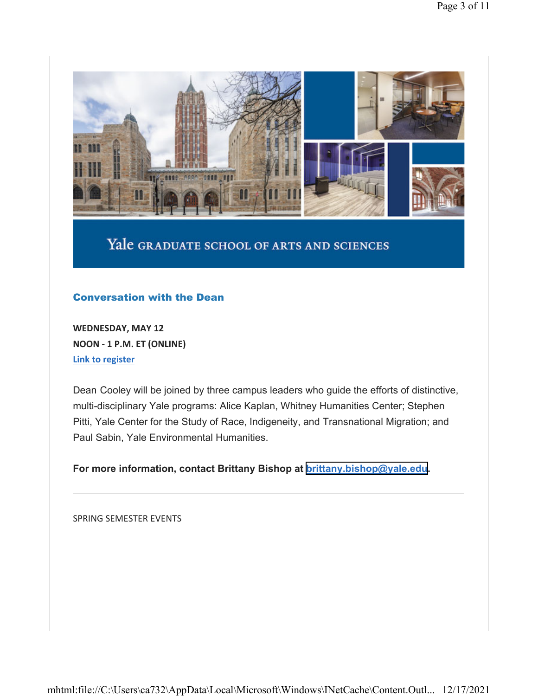

### Yale GRADUATE SCHOOL OF ARTS AND SCIENCES

#### Conversation with the Dean

**WEDNESDAY, MAY 12 NOON - 1 P.M. ET (ONLINE) Link to register**

Dean Cooley will be joined by three campus leaders who guide the efforts of distinctive, multi-disciplinary Yale programs: Alice Kaplan, Whitney Humanities Center; Stephen Pitti, Yale Center for the Study of Race, Indigeneity, and Transnational Migration; and Paul Sabin, Yale Environmental Humanities.

**For more information, contact Brittany Bishop at [brittany.bishop@yale.edu.](mailto:brittany.bishop@yale.edu)**

SPRING SEMESTER EVENTS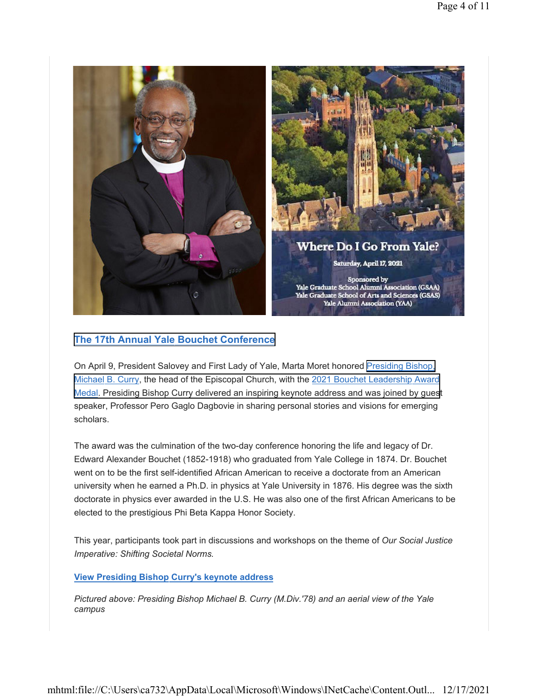

#### **[The 17th Annual Yale](https://gsas.yale.edu/diversity/office-graduate-student-development-diversity/edward-bouchet-conference) Bouchet Conference**

On April 9, President Salovey and First Lady of Yale, Marta Moret honored [Presiding Bishop,](https://www.episcopalchurch.org/presiding-bishop-michael-curry/biography/) Michael B. Curry, the head of the Episcopal Church, with the 2021 Bouchet Leadership Award [Medal. Presiding Bishop Curry delivered an inspiring keynote address and](https://gsas.yale.edu/diversity/office-graduate-student-development-diversity/edward-bouchet-conference) was joined by guest speaker, Professor Pero Gaglo Dagbovie in sharing personal stories and visions for emerging scholars.

The award was the culmination of the two-day conference honoring the life and legacy of Dr. Edward Alexander Bouchet (1852-1918) who graduated from Yale College in 1874. Dr. Bouchet went on to be the first self-identified African American to receive a doctorate from an American university when he earned a Ph.D. in physics at Yale University in 1876. His degree was the sixth doctorate in physics ever awarded in the U.S. He was also one of the first African Americans to be elected to the prestigious Phi Beta Kappa Honor Society.

This year, participants took part in discussions and workshops on the theme of *Our Social Justice Imperative: Shifting Societal Norms.*

#### **View Presiding Bishop Curry's keynote address**

*Pictured above: Presiding Bishop Michael B. Curry (M.Div.'78) and an aerial view of the Yale campus*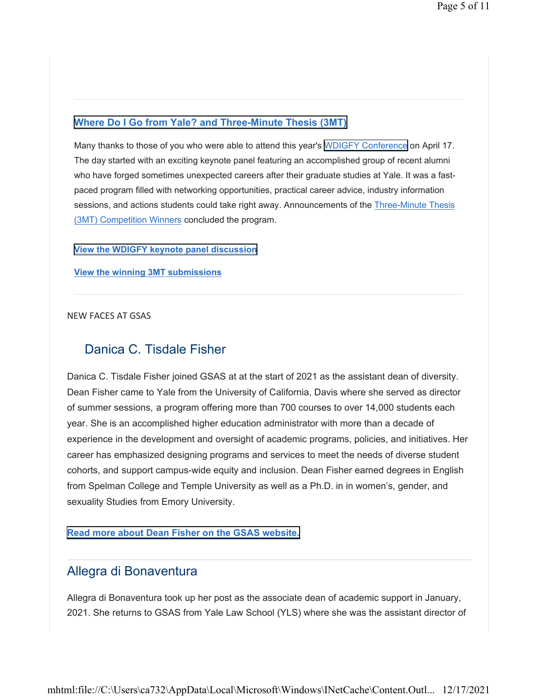#### **Where Do I Go from Yale? [and Three-Minute Thesis \(3MT\)](https://alumni.yale.edu/events/where-do-i-go-yale)**

Many thanks to those of you who were able to attend this year's [WDIGFY Conference](https://alumni.yale.edu/events/where-do-i-go-yale) on April 17. The day started with an exciting keynote panel featuring an accomplished group of recent alumni who have forged sometimes unexpected careers after their graduate studies at Yale. It was a fastpaced program filled with networking opportunities, practical career advice, industry information sessions, and actions students could take right away. Announcements of the Three-Minute Thesis (3MT) Competition Winners concluded the program.

#### **View [the WDIGFY keynote](https://vimeo.com/540702785) panel discussion**

**View the winning 3MT submissions**

#### NEW FACES AT GSAS

#### Danica C. Tisdale Fisher

Danica C. Tisdale Fisher joined GSAS at at the start of 2021 as the assistant dean of diversity. Dean Fisher came to Yale from the University of California, Davis where she served as director of summer sessions, a program offering more than 700 courses to over 14,000 students each year. She is an accomplished higher education administrator with more than a decade of experience in the development and oversight of academic programs, policies, and initiatives. Her career has emphasized designing programs and services to meet the needs of diverse student cohorts, and support campus-wide equity and inclusion. Dean Fisher earned degrees in English from Spelman College and Temple University as well as a Ph.D. in in women's, gender, and sexuality Studies from Emory University.

#### **Read more about Dean [Fisher on the GSAS website.](https://gsas.yale.edu/news/danica-c-tisdale-named-new-assistant-dean-diversity)**

#### Allegra di Bonaventura

Allegra di Bonaventura took up her post as the associate dean of academic support in January, 2021. She returns to GSAS from Yale Law School (YLS) where she was the assistant director of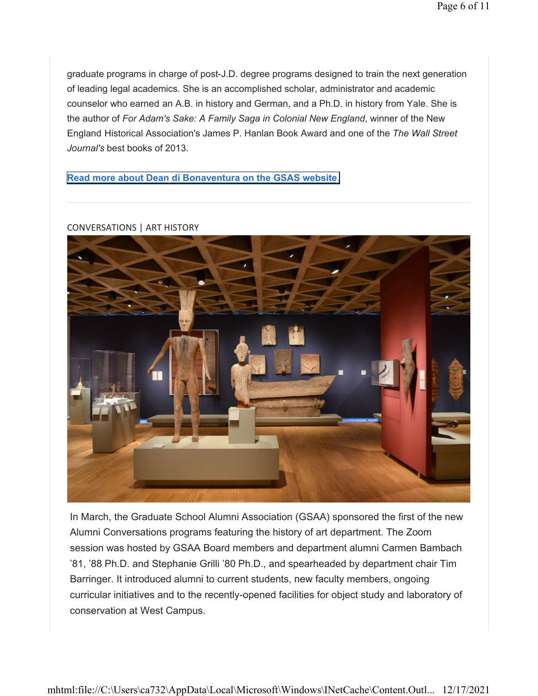graduate programs in charge of post-J.D. degree programs designed to train the next generation of leading legal academics. She is an accomplished scholar, administrator and academic counselor who earned an A.B. in history and German, and a Ph.D. in history from Yale. She is the author of *For Adam's Sake: A Family Saga in Colonial New England*, winner of the New England Historical Association's James P. Hanlan Book Award and one of the *The Wall Street Journal's* best books of 2013.

#### **[Read more about Dean](https://gsas.yale.edu/news/gsas-welcomes-new-associate-dean-academic-support) di Bonaventura on the GSAS website**.

CONVERSATIONS | ART HISTORY

In March, the Graduate School Alumni Association (GSAA) sponsored the first of the new Alumni Conversations programs featuring the history of art department. The Zoom session was hosted by GSAA Board members and department alumni Carmen Bambach '81, '88 Ph.D. and Stephanie Grilli '80 Ph.D., and spearheaded by department chair Tim Barringer. It introduced alumni to current students, new faculty members, ongoing curricular initiatives and to the recently-opened facilities for object study and laboratory of conservation at West Campus.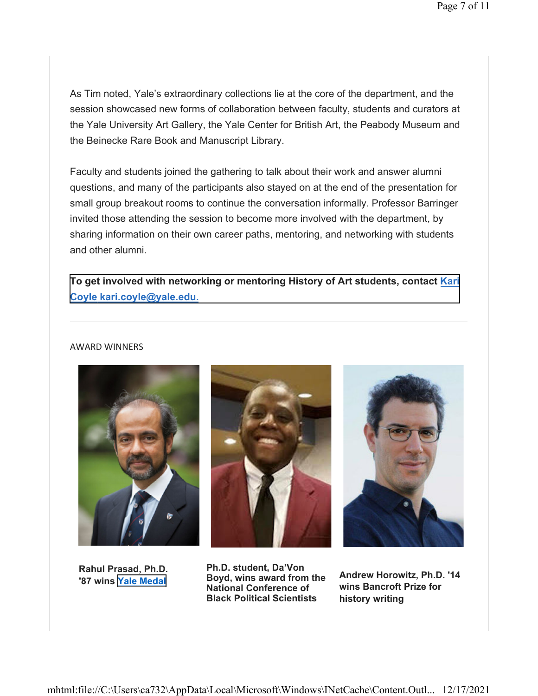As Tim noted, Yale's extraordinary collections lie at the core of the department, and the session showcased new forms of collaboration between faculty, students and curators at the Yale University Art Gallery, the Yale Center for British Art, the Peabody Museum and the Beinecke Rare Book and Manuscript Library.

Faculty and students joined the gathering to talk about their work and answer alumni questions, and many of the participants also stayed on at the end of the presentation for small group breakout rooms to continue the conversation informally. Professor Barringer invited those attending the session to become more involved with the department, by sharing information on their own career paths, mentoring, and networking with students and other alumni.

**To get involved with networking or mentoring History of Art students, contact Kari [Coyle k](Kari Coyle kari.coyle@yale.edu.)[ari.coyle@yale.edu.](mailto:kari.coyle@yale.edu)**

#### AWARD WINNERS



**Rahul Prasad, Ph.D. '87 wins [Yale Medal](https://alumni.yale.edu/awards/the-yale-medal)**





**Ph.D. student, Da'Von Boyd, wins award from the National Conference of Black Political Scientists**

**Andrew Horowitz, Ph.D. '14 wins Bancroft Prize for history writing**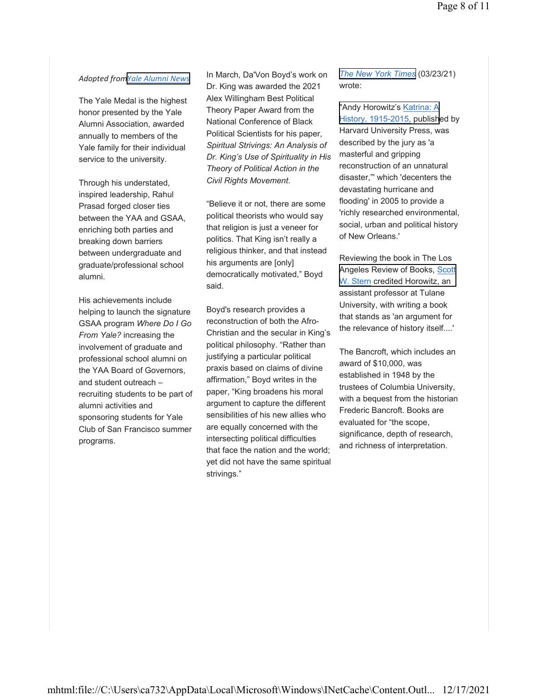#### *Adopted from[Yale Alumni News](https://alumni.yale.edu/news/trailblazers-groundbreakers-and-difference-makers-honored-2020-yale-medal)*

The Yale Medal is the highest honor presented by the Yale Alumni Association, awarded annually to members of the Yale family for their individual service to the university.

Through his understated, inspired leadership, Rahul Prasad forged closer ties between the YAA and GSAA, enriching both parties and breaking down barriers between undergraduate and graduate/professional school alumni.

His achievements include helping to launch the signature GSAA program *Where Do I Go From Yale?* increasing the involvement of graduate and professional school alumni on the YAA Board of Governors, and student outreach – recruiting students to be part of alumni activities and sponsoring students for Yale Club of San Francisco summer programs.

In March, Da'Von Boyd's work on Dr. King was awarded the 2021 Alex Willingham Best Political Theory Paper Award from the National Conference of Black Political Scientists for his paper, *Spiritual Strivings: An Analysis of Dr. King's Use of Spirituality in His Theory of Political Action in the Civil Rights Movement*.

"Believe it or not, there are some political theorists who would say that religion is just a veneer for politics. That King isn't really a religious thinker, and that instead his arguments are [only] democratically motivated," Boyd said.

Boyd's research provides a reconstruction of both the Afro-Christian and the secular in King's political philosophy. "Rather than justifying a particular political praxis based on claims of divine affirmation," Boyd writes in the paper, "King broadens his moral argument to capture the different sensibilities of his new allies who are equally concerned with the intersecting political difficulties that face the nation and the world; yet did not have the same spiritual strivings."

*[The New York Times](https://www.nytimes.com/2021/03/23/arts/bancroft-prize-andy-horowitz-claudio-saunt.html)* (03/23/21) wrote:

"Andy Horowitz's Katrina: A [History, 1915-2015, publish](https://www.hup.harvard.edu/catalog.php?isbn=9780674971714)ed by Harvard University Press, was described by the jury as 'a masterful and gripping reconstruction of an unnatural disaster,"' which 'decenters the devastating hurricane and flooding' in 2005 to provide a 'richly researched environmental, social, urban and political history of New Orleans.'

Reviewing the book in The Los Angeles Review of Books, Scott W. [Stern credited Horowitz, an](https://lareviewofbooks.org/article/bending-toward-the-storm-on-andy-horowitzs-katrina-a-history-1915-2015/) assistant professor at Tulane University, with writing a book that stands as 'an argument for the relevance of history itself....'

The Bancroft, which includes an award of \$10,000, was established in 1948 by the trustees of Columbia University, with a bequest from the historian Frederic Bancroft. Books are evaluated for "the scope, significance, depth of research, and richness of interpretation.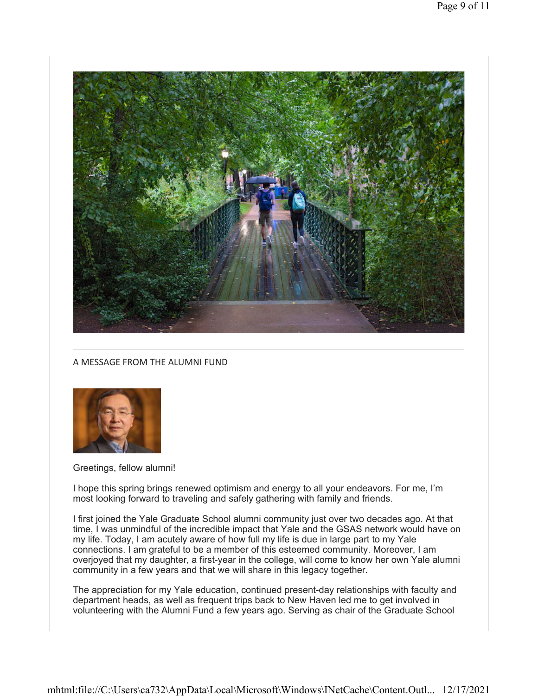

#### A MESSAGE FROM THE ALUMNI FUND



Greetings, fellow alumni!

I hope this spring brings renewed optimism and energy to all your endeavors. For me, I'm most looking forward to traveling and safely gathering with family and friends.

I first joined the Yale Graduate School alumni community just over two decades ago. At that time, I was unmindful of the incredible impact that Yale and the GSAS network would have on my life. Today, I am acutely aware of how full my life is due in large part to my Yale connections. I am grateful to be a member of this esteemed community. Moreover, I am overjoyed that my daughter, a first-year in the college, will come to know her own Yale alumni community in a few years and that we will share in this legacy together.

The appreciation for my Yale education, continued present-day relationships with faculty and department heads, as well as frequent trips back to New Haven led me to get involved in volunteering with the Alumni Fund a few years ago. Serving as chair of the Graduate School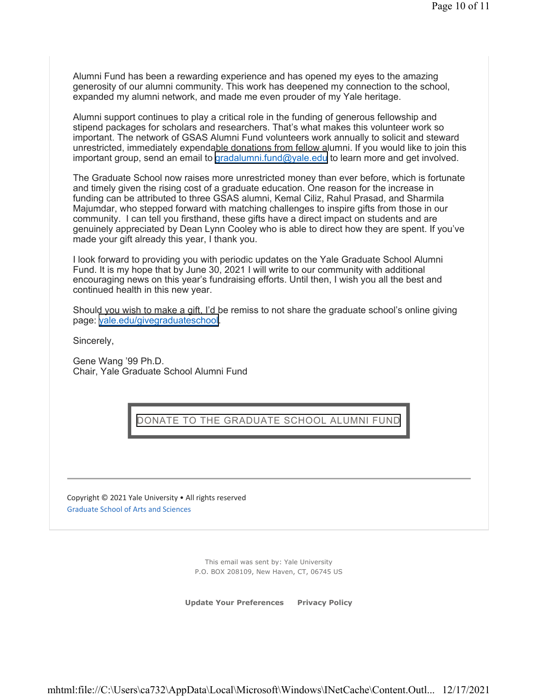Alumni Fund has been a rewarding experience and has opened my eyes to the amazing generosity of our alumni community. This work has deepened my connection to the school, expanded my alumni network, and made me even prouder of my Yale heritage.

Alumni support continues to play a critical role in the funding of generous fellowship and stipend packages for scholars and researchers. That's what makes this volunteer work so important. The network of GSAS Alumni Fund volunteers work annually to solicit and steward unrestricted, immediately expendable donations from fellow alumni. If you would like to join this important group, send an email to <gradalumni.fund@yale.edu> to learn more and get involved.

The Graduate School now raises more unrestricted money than ever before, which is fortunate and timely given the rising cost of a graduate education. One reason for the increase in funding can be attributed to three GSAS alumni, Kemal Ciliz, Rahul Prasad, and Sharmila Majumdar, who stepped forward with matching challenges to inspire gifts from those in our community. I can tell you firsthand, these gifts have a direct impact on students and are genuinely appreciated by Dean Lynn Cooley who is able to direct how they are spent. If you've made your gift already this year, I thank you.

I look forward to providing you with periodic updates on the Yale Graduate School Alumni Fund. It is my hope that by June 30, 2021 I will write to our community with additional encouraging news on this year's fundraising efforts. Until then, I wish you all the best and continued health in this new year.

Should you wish to make a gift, I'd be remiss to not share the graduate school's online giving page: [yale.edu/givegraduateschool.](gradalumni.fund@yale.edu)

Sincerely,

Gene Wang '99 Ph.D. Chair, Yale Graduate School Alumni Fund

DONATE TO [THE GRADUATE SCHOOL](https://yale.imodules.com/s/1667/52/cart/cart.aspx?sid=1667&gid=52&pgid=5767) ALUMNI FUND

Copyright © 2021 Yale University • All rights reserved Graduate School of Arts and Sciences

> This email was sent by: Yale University P.O. BOX 208109, New Haven, CT, 06745 US

**Update Your Preferences Privacy Policy**